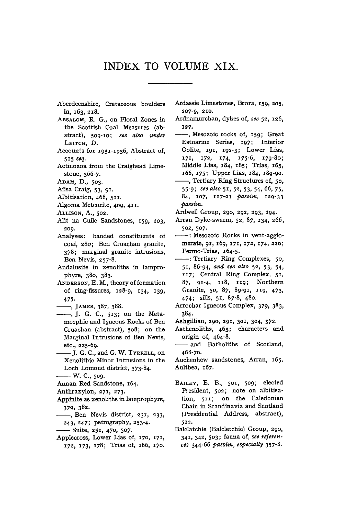## **INDEX TO VOLUME XIX.**

- **Aberdeenshire, Cretaceous boulders in, 163, 218 .**
- **ABSALOM, R. G., on Floral Zones in the Scottish Coal Measures (abstract), 509-10;** *see also under*  **LEITCH, D.**
- **Accounts for 1931-1936 , Abstract of, 5 1 5** *seq.*
- **Actinozoa from the Craighead Limestone, 366-7.**
- **ADAM, D., 503.**
- **Ailsa Craig, 53, 91 .**
- **Albitisation, 468, 511 .**
- **Algoma Meteorite, 409, 411 .**
- **ALLISON, A., 502.**
- **Allt na Cuile Sandstones, 159, 203, 209.**
- **Analyses: banded constituents of coal, 280; Ben Cruachan granite, 378 ; marginal granite intrusions, Ben Nevis, 257-8.**
- **Andalusite in xenoliths in lamprophyre, 380, 383.**
- **ANDERSON, E. M., theory of formation**  of ring-fissures, 128-9, 134, 139, **475-**
- **, JAMES, 387, 388.**
- **, J . G. C, 513 ; on the Metamorphic and Igneous Rocks of Ben Cruachan (abstract), 508; on the Marginal Intrusions of Ben Nevis, etc., 225-69.**
- **J . G. C, and G. W. TYRRELL, on Xenolithic Minor Intrusions in the Loch Lomond district, 373-84.**
- **W. C, 509.**
- **Annan Red Sandstone, 164.**
- **Anthraxylon, 271 , 273.**
- **Appinite as xenoliths in lamprophyre, 379, 382.**
- **, Ben Nevis district, 231 , 233, 243, 247 ; petrography, 253-4.**
- **-Suite, 251 , 470, 507-**
- **Applecross, Lower Lias of, 170, 171 , <sup>172</sup> , 173 , 178 ; Trias of, 166, 170 .**
- **Ardassie Limestones, Brora, 159 , 205, 207-9, 210.**
- **Ardnamurchan, dykes of,** *see* **52, 126, 127 .**
- **, Mesozoic rocks of, 159 ; Great Estuarine Series, 197 ; Inferior Oolite, 191 , 192-3 ; Lower Lias, <sup>171</sup> , 172 , 174 , 175-6 , 179-80 ; Middle Lias, i84 ; 185 ; Trias, 165 , 166, 175 ; Upper Lias, 184, 189-90.**
- **, Tertiary Ring Structures of, 50, 55-9J** *see also* **51 , 52, 53, 54, 66, 75 , 84, 107, 117-2 3** *passim,* **129-33**  *passim.*
- **Ardwell Group, 290, 292, 293, 294.**
- **Arran Dyke-swarm, 52, 87, 134, 266, 502, 507.**
- **: Mesozoic Rocks in vent-agglomerate, 91 , 169, 171 , 172 , 174,220 ; Permo-Trias, 164-5.**
- **: Tertiary Ring Complexes, 50, 5 1 , 86-94,** *and see also* **52, 53 , 54, <sup>117</sup> ; Central Ring Complex, 51 , 87, 91-4, 118 , 119 ; Northern Granite, 50, 87, 89-91, 119 , 473 , 474; sills, 51 , 87-8, 480.**
- **Arrochar Igneous Complex, 379, 383, 384.**
- **Ashgillian, 290, 291 , 301, 304, 372.**
- **Asthenoliths, 463; characters and origin of, 464-8.**
- **and Batholiths of Scotland, 468-70.**
- **Auchenhew sandstones, Arran, 165 . Aultbea, 167 .**
- **BAILEY, E. B., 501, 509; elected President, 502; note on albitisation, 511 ; on the Caledonian Chain in Scandinavia and Scotland (Presidential Address, abstract), 512 .**
- **Balclatchie (Balcletchie) Group, 290, 341, 342, 503; fauna of,** *see references* **344-66** *passim, especially* **357-8.**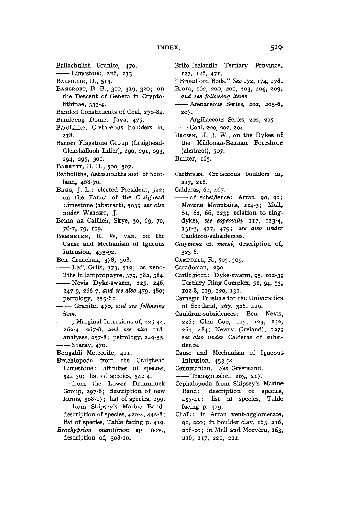**BaUachulish Granite, 470.** 

**Limestone, 226, 233.** 

**BALSILLIE, D., 513 .** 

- **BANCROFT, B. B., 310, 319 , 320; on the Descent of Genera in Cryptolithinae, 333-4-**
- **Banded Constituents of Coal, 270-84.**
- **Bandoeng Dome, Java, 475 .**
- **Banffshire, Cretaceous boulders in, 218.**
- **Barren Flagstone Group (Craighead-Glenshalloch Inlier), 290, 291 , 293, 294, 295, 301.**
- **BARRETT, B. H. , 500, 507.**
- **Batholiths, Asthenoliths and, of Scotland, 468-70.**
- **BEGG, J. L.; elected President, 512 ; on the Fauna of the Craighead Limestone (abstract), 503;** *see also under* **WRIGHT, J.**
- **Beinn na Caulich, Skye, 50, 69, 70, 76-7, 79, "9 -**
- BEMMELEN, R. W. VAN, on the **Cause and Mechanism of Igneous Intrusion, 453-92.**
- **Ben Cruachan, 378, 508.**
- -- Ledi Grits, 373, 512; as xeno**liths in lamprophyre, 379, 382, 384.**
- **Nevis Dyke-swarm, 225, 246, 247-9, 266-7,** *and see also* **479, 480; petrology, 259-62.**
- $-$  Granite, 470, and see following *item.*
- **, Marginal Intrusions of, 225-44, 262-4, 267-8,** *and see also* **118 ; analyses, 257-8 ; petrology, 249-55.**  —— Starav, 470.
- **Boogaldi Meteorite, 411 .**
- **Brachiopoda from the Craighead Limestone: affinities of species, 344-59; list of species, 342-4\***
- **from the Lower Drummuck Group, 297-8; description of new forms, 308-17; list of species, 299. from Skipsey's Marine Band:**
- **description of species, 420-4, 442-8; list of species, Table facing p. 419 .**
- *Brachyprion matutinum* **sp. nov., description of, 308-10.**
- **Brito-Icelandic Tertiary Province, 127, 128, 471 .**
- **" Broadford Beds."** *See* **172 , 174 , 178 .**
- **Brora, 162, 200, 201, 203, 204, 209,**  *and see following items.*
- **—•—• Arenaceous Series, 202, 205-6, 207.**
- **Argillaceous Series, 202, 205.**

**Coal, 200, 202, 204.** 

**BROWN, H . J. W. , on the Dykes of the Kildonan-Bennan Foreshore (abstract), 507.** 

**Bunter, 165.** 

**Caithness, Cretaceous boulders in, 217 , 218 .** 

**Calderas, 61 , 467.** 

- **of subsidence: Arran, 90, 91 ; Mourne Mountains, 114-5 ; Mull, 6 1 , 62, 66, 123 ; relation to ringdykes,** *see especially* **117 , 123-4,**  131-3, 477, 479; see also under **Cauldron-subsidences,**
- *Calymena* **cf.** *meeki,* **description of, 325-6.**
- **CAMPBELL, R., 505, 509.**
- **Caradocian, 290,**
- **Carlingford: Dyke-swarm, 95, 102-3 ; Tertiary Ring Complex, 51 , 94, 95, 102-8, 1x9, 120, 131 .**
- **Carnegie Trustees for the Universities of Scotland, 267, 326, 419 .**
- **Cauldron-subsidences: Ben Nevis, 226; Glen Coe, 115 , 123, 132 , 264, 484; Newry (Ireland), 127 ;**  *see also under* **Calderas of subsidence.**
- **Cause and Mechanism of Igneous Intrusion, 453-92.**
- **Cenomanian.** *See* **Greensand.**
- **Transgression, 163, 217 .**
- **Cephalopoda from Skipsey's Marine Band: description of species, 435-41 ; list of species, Table facing p. 419 .**
- **Chalk: in Arran vent-agglomerate, 9 1 , 220; in boulder clay, 163, 216 , 218-20; in Mull and Morvern, 163 , 216 , 217 , 221 , 222.**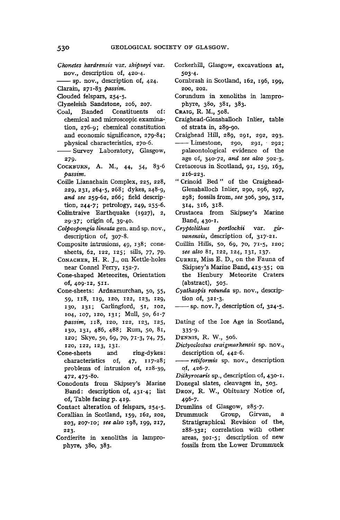- *Chonetes hardrensis* **var.** *skipseyi* **var. nov., description of, 420-4.**
- **sp. nov., description of, 424.**
- **Clarain, 271-8 3** *passim.*
- **Clouded felspars, 254-5.**
- **Clyneleish Sandstone, 206, 207.**
- Coal, Banded Constituents **chemical and microscopic examination, 276-9 ; chemical constitution and economic significance, 279-84; physical characteristics, 270-6.**
- **Survey Laboratory, Glasgow, 279-**
- **COCKBURN, A. M., 44, 54, 83-6**  *passim.*
- **Coille Lianachain Complex, 225, 228, 229,231,264-5,268 ; dykes, 248-9,**  *and see* **259-62, 266; field description, 244-7; petrology, 249, 255-6.**
- **Colintraive Earthquake (1927), 2, 29-37; origin of, 39-40.**
- *Colpospongia lineata* **gen. and sp. nov., description of, 307-8.**
- **Composite intrusions, 49, 138 ; conesheets, 62, 122, 125 ; sills, 77 , 79.**
- **CONACHER, H. R. J., on Kettle-holes near Connel Ferry, 152-7 .**
- **Cone-shaped Meteorites, Orientation of, 409-12, 511 .**
- **Cone-sheets: Ardnamurchan, 50, 55, 59, 118 , 119 , 120, 122, 123, 129, 130, 131 ; Carlingford, 51 , 102, 104, 107, 120, 131 ; Mull, 50, 61- 7**  *passim,* **118 , 120, 122, 123, 125 , 130, 131 , 486, 488; Rum, 50, 81 , <sup>120</sup> ; Skye, 50, 69, 70, 7i-3 , 74, 75 , 120, 122 , 123, 131 .**
- **Cone-sheets and ring-dykes: characteristics of, 47, 117-28 ; problems of intrusion of, 128-39, 472 , 475-80.**
- **Conodonts from Skipsey's Marine Band: description of, 431-4 ; list of, Table facing p. 419.**

**Contact alteration of felspars, 254-5.** 

- **Corallian in Scotland, 159, 162, 202, 203, 207-10 ;** *see also* **198, 199, 217 , 223.**
- **Cordierite in xenoliths in lamprophyre, 380, 383.**
- **Corkerhill, Glasgow, excavations at, 503-4.**
- **Cornbrash in Scotland, 162, 196, 199 , 200, 202.**
- **Corundum in xenoliths in lamprophyre, 380, 381, 383.**
- **CRAIG, R. M., 508.**
- **Craighead-Glenshalloch Inlier, table of strata in, 289-90.**
- **Craighead Hill, 289, 291 , 292, 293. Limestone, 290, 291 , 292 ; palaeontological evidence of the age of, 340-72,** *and see also* **502-3.**
- **Cretaceous in Scotland, 91 , 159 , 163 , 216-223.**
- **"Crinoid Bed " of the Craighead-Glenshalloch Inlier, 290, 296, 297, 298; fossils from,** *see* **306, 309, 312 , 314, 316, 318.**
- **Crustacea from Skipsey's Marine Band, 430-1.**
- *Cryptolithus portlochii* **var.** *girvanensis,* **description of, 317-21 .**
- **Cuillin Hills, 50, 69, 70, 71-5 , 120 ;**  *see also* **81, 122, 124, 131 , 137 .**
- **CURRIE, Miss E. D., on the Fauna of Skipsey's Marine Band, 413-35 ; on the Henbury Meteorite Craters (abstract), 505.**
- *Cyathaspis rotunda* **sp. nov., description of, 321-3.**
- **sp. nov. ?, description of, 324-5.**
- **Dating of the Ice Age in Scotland, 335-9-**
- **DENNIS, R. W., 506.**
- *Dictyoclostus craigmarkensis* **sp. nov., description of, 442-6.**
- *•—•— retiformis* **sp. nov., description of, 426-7.**
- *Diihyrocaris* **sp., description of, 430-1.**
- **Donegal slates, cleavages in, 503.**
- **DRON, R. W., Obituary Notice of, 496-7.**
- **Drumlins of Glasgow, 285-7.**
- **Drummuck Group, Girvan, a Stratigraphical Revision of the, 288-332; correlation with other areas, 301-5 ; description of new fossils from the Lower Drummuck**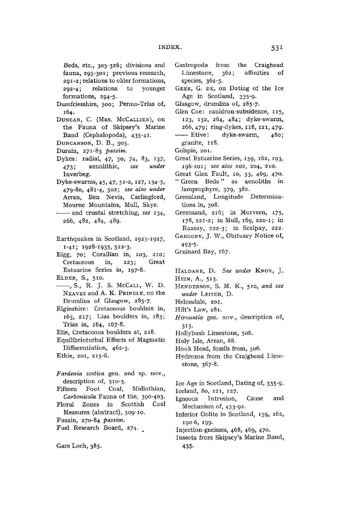Beds, etc., 305-326; divisions and fauna, 295-301; previous research, **291-2; RELATIONS TO OLDER FORMATIONS, 292-4; RELATIONS TO YOUNGER**  formations, 294-5.

- Dumfriesshire, 500; Permo-Trias of, **164.**
- **DUNCAN, C. (MRS. MCCALLIEN), ON**  the Fauna of Skipsey's Marine Band (Cephalopoda), 435-41.
- **DUNCANSON, D. B., 505.**
- **DURAIN, 271-83** *passim.*
- Dykes: radial, 47, 50, 74, 83, 137, **473; XENOLITHIC,** *see under*  Inverbeg.
- **DYKE-SWARMS, 45, 47, 51-2, 127, I34"5, 479-80, 481-4, 502;** *see also under*  Arran, Ben Nevis, Carlingford, **MOURNE MOUNTAINS, MULL, SKYE.**
- And crustal stretching, *see* 134, **266, 482, 484, 489.**
- Earthquakes in Scotland, 1925-1927, **1-41; 1928-1935, 512-3.**
- Eigg, 70; Corallian in, 203, 210; Cretaceous in, 223; Great Estuarine Series in, 197-8.
- **ELDER, S., 510.**
- **, S., R. J. S. MCCALL, W. D.**  NEAVES and A. K. PRINGLE, on the Drumlins of Glasgow, 285-7.
- Elginshire: Cretaceous boulders in, **163, 217; LIAS BOULDERS IN, 183; TRIAS IN, 164, 167-8.**
- Elie, Cretaceous boulders at, 218.
- Equilibrioturbal Effects of Magmatic Differentiation, 462-3.
- **ETHIE, 201, 215-6.**
- $Fardenia<sub>s</sub> cotica<sub>gen.</sub> and sp. nov.,$ **DESCRIPTION OF, 3IO\_ 3-** Fifteen Foot Coal, Midlothian,
- *Carbonicola* Fauna of the, 390-403. Floral Zones in Scottish Coal **MEASURES (ABSTRACT), 509-10.**
- **FUSAIN, 270-84** *passim.*
- Fuel Research Board, 274.
- **GARE LOCH, 385.**
- Gastropoda from the Craighead Limestone, 362; affinities of **SPECIES, 362-5.**
- **GEER, G. DE, ON DATING OF THE ICE**  Age in Scotland, 335-9.
- Glasgow, drumlins of, 285-7.
- Glen Coe: cauldron-subsidence, 115, 123, 132, 264, 484; dyke-swarm, **266, 479; RING-DYKES, 118, 121, 479-**
- **ETRIVE:** dyke-swarm, 480; **GRANITE, 118.**
- **GOLSPIE, 201.**
- Great Estuarine Series, 159, 162, 193, **196-201;** *see also* **202, 204, 210.**
- Great Glen Fault, 10, 53, 469, 470.
- " Green Beds " as xenoliths in **LAMPROPHYRE, 379, 382.**
- Greenland, Longitude Determinations in, 508.
- Greensand, 216; in Morvern, 175, **178, 221-2; IN MULL, 169, 220-1; IN RAASAY, 222-3; IN SCALPAY, 222.**
- GREGORY, J. W., Obituary Notice of, **493-5-**
- Gruinard Bay, 167.
- **HALDANE, D.** *See under* **KNOX, J. HEIM, A., 513.**
- **HENDERSON, S. M. K., 510,** *and see under* **LEITCH, D.**
- Helmsdale, 201.
- **HILT'S LAW, 281.**
- *Hirnantia* gen. nov., description of, **3\*3-**
- Hollybush Limestone, 506.
- Holy Isle, Arran, 88.
- Hook Head, fossils from, 506.
- Hydrozoa from the Craighead Limestone, 367-8.
- Ice Age in Scotland, Dating of, 335-9.
- **ICELAND, 80, 121, 127.**
- Igneous Intrusion, Cause and **MECHANISM OF, 453-92.**
- Inferior Oolite in Scotland, 159, 162, **190-6, 199.**
- **Injection-gneisses, 468, 469, 470.**
- Insecta from Skipsey's Marine Band, **435-**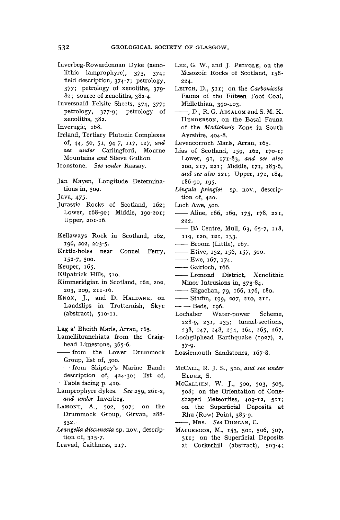- **Inverbeg-Rowardennan Dyke (xenolithic lamprophyre), 373, 374; field description, 374-7; petrology, <sup>377</sup> ; petrology of xenoliths, 379- 82; source of xenoliths, 382-4.**
- **Inversnaid Felsite Sheets, 374, 377 ; petrology, 377-9 ; petrology of xenoliths, 382.**

**Inverugie, 168.** 

- **Ireland, Tertiary Plutonic Complexes of, 44, 50, 51 , 94-7, 117 , 127,** *and see under* **Carlingford, Mourne Mountains** *and* **Slieve Gullion.**
- **Ironstone.** *See under* **Raasay.**
- **Jan Mayen, Longitude Determinations in, 509.**

**Java, 475-**

- **Jurassic Rocks of Scotland, 162 ; Lower, 168-90; Middle, 190-201; Upper, 201-16 .**
- **Kellaways Rock in Scotland, 162, 196, 202, 203-5.**
- **Kettle-holes near Connel Ferry, 152-7 , 500.**

**Keuper, 165 .** 

- **Kilpatrick Hills, 510.**
- **Kimmeridgian in Scotland, 162, 202, 203, 209, 211-16 .**
- **KNOX, J., and D. HALDANE, on Landslips in Trotternish, Skye (abstract), 510-n .**
- **Lag a\* Bheith Marls, Arran, 165.**
- **Lamellibranchiata from the Craighead Limestone, 365-6.**
- **from the Lower Drummock Group, list of, 300.**
- **from Skipsey's Marine Band: description of, 424-30; list of, Table facing p. 419 .**
- **Lamprophyre dykes.** *See* **259, 261-2,**  *and under* **Inverbeg.**
- **LAMONT, A., 502, 507; on the Drummock Group, Girvan, 288- 332.**
- *Leangella discuneata* **sp. nov., description of, 315-7 .**
- **Leavad, Caithness, 217 .**
- **LEE, G. W., and J. PRINGLE, on the Mesozoic Rocks of Scotland, 158 - 224.**
- **LEITCH, D., 511 ; on the** *Carbonicola*  **Fauna of the Fifteen Foot Coal, Midlothian, 390-403.**
- **, D., R. G. ABSALOM and S. M. K. HENDERSON, on the Basal Fauna of the** *Modiolaris* **Zone in South Ayrshire, 404-8.**
- **Levencorroch Marls, Arran, 165 .**
- Lias of Scotland, 159, 162, 170-1; **Lower, 91 , 171-83 ,** *and see also*  **200, 217 , 221 ; Middle, 171 , 183-6,**  *and see also* **221 ; Upper, 171 , 184, 186-90, 195 .**
- *Lingula pringlei* **sp. nov., description of, 420.**
- **Loch Awe, 500.**
- **Aline, 166, 169, 175 , 178 , 221 , 222.**
- **Ba Centre, Mull, 63, 65-7, 118 , <sup>119</sup> , 120, 121 , 133 .**
- **Broom (Little), 167 .**
- **Etive, 152 , 156 , 157 , 500.**
- **Ewe, 167, 174 .**
- **Gairloch, 166.**
- **Lomond District, Xenolithic Minor Intrusions in, 373-84.**
- **Sligachan, 79, 166, 176 , 180.**
- **Staffin, 199, 207, 210, 211 .**
- **— Beds, 196.**
- **Lochaber Water-power Scheme, 228-9, <sup>2</sup> 3 J » 235 ; tunnel-sections, 238, 247, 248, 254, 264, 265, 267.**
- **Lochgilphead Earthquake (1927), 2, 37-9-**
- **Lossiemouth Sandstones, 167-8.**
- **MCCALL, R. J. S., 510 ,** *and see under*  **ELDER, S.**
- **MCCALLIEN, W. J., 500, 503, 505, 508; on the Orientation of Coneshaped Meteorites, 409-12, 511 ; on the Superficial Deposits at Rhu (Row) Point, 385-9.**
- **, MRS.** *See* **DUNCAN, C.**
- **MACGREGOR, M., 153, 501, 506, 507, <sup>511</sup> ; on the Superficial Deposits**  at Corkerhill (abstract), 503-4;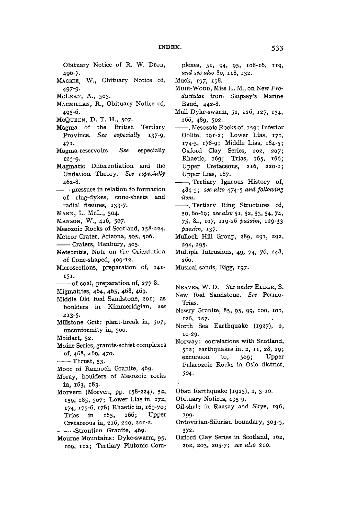**Obituary Notice of R. W . Dron, 496-7.** 

- **MACKIE, W., Obituary Notice of, 497-9-**
- **MCLEAN, A. , 503.**
- **MACMILLAN, R., Obituary Notice of, 495-6-**
- **MCQUEEN, D. T. H., 507.**
- **Magma of the British Tertiary Province.** *See especially* **137-9 , 47i .**
- **Magma-reservoirs** *See* **especially**
- **Magmatic** Differentiation and the **Magmatic Differentiation and the Undation Theory.** *See especially*  **462-8.**
- **pressure in relation to formation of ring-dykes, cone-sheets and radial fissures, 133-7.**
- **MANN, L. McL., 504.**
- **MANSON, W. , 416 , 507.**

**Mesozoic Rocks of Scotland, 158-224.** 

- **Meteor Crater, Arizona, 505, 506.**
- **Craters, Henbury, 505.**
- **Meteorites, Note on the Orientation**
- **of Cone-shaped, 409-12. Microsections, preparation of, 141 - 151 -**

**of coal, preparation of, 277-8 .** 

- **Migmatites, 464, 465, 468, 469.**
- **Middle Old Red Sandstone, 201 ; as boulders in Kimmeridgian,** *see*  **213-5 .**
- **Millstone Grit: plant-break in, 507; unconformity in, 500.**
- **Moidart, 52.**
- **Moine Series, granite-schist complexes of, 468, 469, 470.**

**• Thrust, 53-**

- **Moor of Rannoch Granite, 469.**
- **Moray, boulders of Mesozoic rocks in, 163 , 183.**
- **Morvern (Morven, pp. 158-224), 52, 159 , 185, 507; Lower Lias in, 172 , \*74, 175-6 , 178 ; Rhaeticin, 169-70 ; Trias in 165 , 166 ; Upper Cretaceous in, 216 , 220, 221-2 . Strontian Granite, 469.**
- **Mourne Mountains: Dyke-swarm, 95, 109, 112 ; Tertiary Plutonic Com-**

**plexes, 51 , 94, 95, 108-16, 119 ,**  *and see also* **80, 118 , 132 .** 

- **Muck, 197, 198.**
- **MUIR-WOOD, Miss H. M., on New** *Productidae* **from Skipsey's Marine Band, 442-8.**
- **Mull Dyke-swarm, 52, 126, 127 , 134, 266, 489, 502.**
- **, Mesozoic Rocks of, 159 ; Inferior Oolite, 191-2 ; Lower Lias, 171 , 174-5 , 178-9 ; Middle Lias, 184-5 ; Oxford Clay Series, 202, 207; Rhaetic, 169 ; Trias, 165, 166 ; Upper Cretaceous, 216 , 220-1 ; Upper Lias, 187.**
- **, Tertiary Igneous History of, 484-5;** *see also* **474-5** *and following item.*
- **, Tertiary Ring Structures of, 50,60-69;** *see also* **51 , 52, 53, 54, 74 , 7 5 , 84, 107, 119-2 6** *passim,* **129-33**  *passim,* **137 .**
- **Mulloch Hill Group, 289, 291 , 292, 294, 295.**
- **Multiple Intrusions, 49, 74, 76, 248, 260.**
- **Musical sands, Eigg, 197 .**

**NEAVES, W . D.** *See under* **ELDER, S.** 

- **New Red Sandstone.** *See* **Permo-Trias.**
- **Newry Granite, 85, 95, 99, 100, 101 , 126, 127.**
- **North Sea Earthquake {1927), 2, 10-29.**
- **Norway: correlations with Scotland, <sup>512</sup> ; earthquakes in, 2, 11 , 28, 29 ; excursion to**, 509; **Palaeozoic Rocks in Oslo district, 504.**

**Oban Earthquake (1925), 2, 3-10.** 

**Obituary Notices, 493-9.** 

- **Oil-shale in Raasay and Skye, 196 , 199.**
- **Ordovician-Silurian boundary, 303-5, 372.**
- **Oxford Clay Series in Scotland, 162 , 202, 203, 205-7;** *see also* **210 .**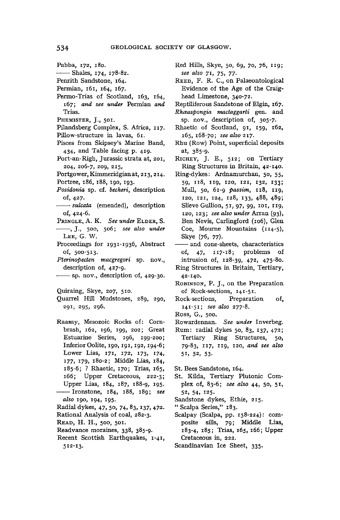- **Shales, 174 , 178-82.**
- **Penrith Sandstone, 164.**
- **Permian, 161 , 164, 167 .**
- **Permo-Trias of Scotland, 163, 164, <sup>167</sup> ;** *and see under* **Permian** *and*  **Trias.**
- **PHEMISTER, J., 501.**
- **Pilandsberg Complex, S. Africa, 117 .**
- **Pillow-structure in lavas, 61 .**
- **Pisces from Skipsey's Marine Band, 434, and Table facing p. 419 .**
- **Port-an-Righ, Jurassic strata at, 201, 204, 206-7, 209, 215 ,**
- **Portgower,Kimmeridgianat, 213,214 .**
- **Portree, 186, 188, 190, 193.**  *Posidonia* **sp. cf.** *becheri,* **description**
- **of, 427.**
- *sulcata* **(emended), description of, 424-6.**
- **PRINGLE, A. K.** *See under* **ELDER, S. , J., 500, 506;** *see also under*  **LEE, G. W .**
- **Proceedings for 1931-1936 , Abstract of, 500-513.**
- *Pterinopecten macgregori* **sp. nov., description of, 427-9.**
- **sp. nov., description of, 429-30.**
- **Quiraing, Skye, 207, 510.**
- **Quarrel Hill Mudstones, 289, 290, 291 , 295, 296.**
- **Raasay, Mesozoic Rocks of: Cornbrash, 162, 196, 199, 202; Great Estuarine Series, 196, 199-200; Inferior Oolite, 190, 191,192,194-6 ; Lower Lias, 171 , 172 , 173 , \*74» i77 , <sup>J</sup> 7 9 , 180-2; Middle Lias, 184, 185-6 ; ? Rhaetic, 170 ; Trias, 165, 166 ; Upper Cretaceous, 222-3; Upper Lias, 184, 187, 188-9, \*95- Ironstone, 184, 188, 189;** *see also* **190, 194, 195 .**

**Radial dykes, 47, 50, 74, 83, 137, 472 . Rational Analysis of coal, 282-3.** 

- **READ, H. H., 500, 501.**
- **Readvance moraines, 338, 385-9.**
- **Recent Scottish Earthquakes, 1-41, 512-13 .**
- **Red Hills, Skye, 50, 69, 70, 76, 119 ;**  *see also* **71 , 75 , 77 .**
- **REED, F. R. C, on Palaeontological Evidence of the Age of the Craighead Limestone, 340-72.**
- **Reptiliferous Sandstone of Elgin, 167 .**
- *Rhaaspongia mactaggarti* **gen. and sp. nov., description of, 305-7.**
- **Rhaetic of Scotland, 91 ,** *159,* **162 , 165, 168-70;** *see also* **217 .**
- **Rhu (Row) Point, superficial deposits at, 385-9.**
- **RICHEY, J. E., 512 ; on Tertiary Ring Structures in Britain, 42-140.**
- **Ring-dykes: Ardnamurchan, 50, 55, 59, 118 , 119 , 120, 121 , 132, 133 ; Mull, 50, 61- 9** *passim,* **118 , 119 , 120, 121 , 124, 128, 133, 488, 489; Slieve Gullion, 51 , 97, 99, 101 , 119 , 120, 123 ;** *see also under* **Arran (93), Ben Nevis, Carlingford (106), Glen Coe, Mourne Mountains (114-5), Skye (76, 77).**
- **and cone-sheets, characteristics of, 47, 117-18 ; problems of intrusion of, 128-39, 472, 475-80.**
- **Ring Structures in Britain, Tertiary, 42-140.**
- **ROBINSON, P. J., on the Preparation of Rock-sections, 141-51 .**
- **Rock-sections, Preparation of, 141-51 ;** *see also 277-8.*
- **Ross, G., 500.**
- **Rowardennan.** *See under* **Inverbeg.**
- **Rum: radial dykes 50, 83, 137 , 472 ; Tertiary Ring Structures, 50, 79-83, 117 , 119 , 120,** *and see also*  **5 1 , 52, 53.**
- **St. Bees Sandstone, 164.**
- **St. Kilda, Tertiary Plutonic Complex of, 83-6;** *see also* **44, 50, 51 , 52, 54, 125 .**
- **Sandstone dykes, Ethie, 215 .**
- **" Scarpa Series," 183.**
- **Scalpay (Scalpa, pp. 158-224): composite sills, 79 ; Middle Lias, 183-4, 185 ; Trias, 165 , 166 ; Upper Cretaceous in, 222.**
- **Scandinavian Ice Sheet, 335.**

**Pabba, 172 , 180.**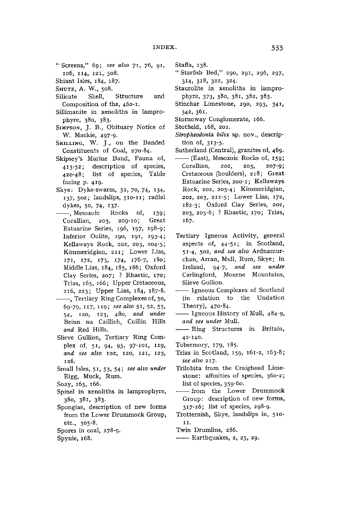- **" Screens," 69;** *see also yi}*  **76, 91 , 106, 114 , 121 , 508.**
- **Shiant Isles, 184, 187.**
- 
- **SHUTE, A. W., 508. Silicate Shell, Structure and Composition of the, 460-1.**
- **Sillimanite in xenoliths in lamprophyre, 380, 383.**
- **SIMPSON, J. B., Obituary Notice of W. Mackie, 497-9.**
- **SKILLING, W. J., on the Banded Constituents of Coal, 270-84.**
- **Skipsey's Marine Band, Fauna of, 413-52 ; description of species, 420-48; list of species, Table facing p. 419 .**
- **Skye: Dyke-swarm, 52, 70, 74, 134, i37» 502; landslips, 510-n ; radial dykes, 50, 74, \*37-**
- **, Mesozoic Rocks of, 159 ; Corallian, 203, 209-10; Great Estuarine Series, 196, 197, 198-9; Inferior Oolite, 190, 191 , 193-4; Kellaways Rock, 202, 203, 204-5; Kimmeridgian, 211 ; Lower Lias, <sup>171</sup> , 172 , 173 , i74> 176-7 , 180; Middle Lias, 184, 185, 186; Oxford Clay Series, 207; ? Rhaetic, 170 ; Trias, 165, 166 ; Upper Cretaceous, 216 , 223 ; Upper Lias, 184, 187-8.**
- **, Tertiary Ring Complexes of, 50, 69-79, 117 , 119 ;** *see also* **51 , 52, 53, 54, 120, 123, 480,** *and under*  **Beinn na Caillich, Cuillin Hills**  *and* **Red Hills.**
- **Slieve Gullion, Tertiary Ring Complex of; 51 , 94, 95, 97-101 , 119 ,**  *and see also* **102, 120, 121 , 123, 126.**
- **Small Isles, 51 , 53, 54;** *see also under*  **Eigg, Muck, Rum.**
- **Soay, 165, 166.**
- **Spinel in xenoliths in lamprophyre, 380, 381, 383.**
- **Spongiae, description of new forms from the Lower Drummock Group, etc., 305-8.**
- **Spores in coal, 278-9.**
- **Spynie, 168.**
- **Staffa, 138.**
- **" Starfish Bed," 290, 291 , 296, 297, 314, 318 , 322, 324.**
- **Staurolite in xenoliths in lamprophyre, 373, 380, 381, 382, 383.**
- **Stinchar Limestone, 290, 293, 341 , 342, 361.**
- **Stornoway Conglomerate, 166.**
- **Stotfield, 168, 201.**
- *Stropheodonta bilix* **sp. nov., description of, 313-5 .**
- **Sutherland (Central), granites of, 469.**
- **(East), Mesozoic Rocks of, 159 ; Corallian, 202, 203, 207-9; Cretaceous (boulders), 218 ; Great Estuarine Series, 200-1; Kellaways Rock, 202, 203-4; Kimmeridgian, 202, 203, 211-5 ; Lower Lias, 172 , 182-3; Oxford Clay Series, 202, 203, 205-6; ? Rhaetic, 170 ; Trias, 167.**
- **Tertiary Igneous Activity, general aspects of, 44-51 ; in Scotland, 51-4 , 502,** *and see also* **Ardnamurchan, Arran, Mull, Rum, Skye; in Ireland, 94-7,** *and see under*  **Carlingford, Mourne Mountains, Slieve Gullion.**
- **Igneous Complexes of Scotland {in relation to the Undation Theory), 470-84.**
- **Igneous History of Mull, 484-9,**  *and see under* **Mull.**
- **Ring Structures in Britain, 42-140.**
- **Tobermory, 179 , 185.**
- **Trias in Scotland, 159 , 161-2 , 163-8;**  *see also* **217 .**
- **Trilobita from the Craighead Limestone': affinities of species, 360-2; list of species, 359-60.**
- **from the Lower Drummock Group: description of new forms, 317-26 ; list of species, 298-9.**
- **Trotternish, Skye, landslips in, 510 - 1 1 .**
- **Twin Drumlins, 286.**
- **Earthquakes, 2, 25, 29.**